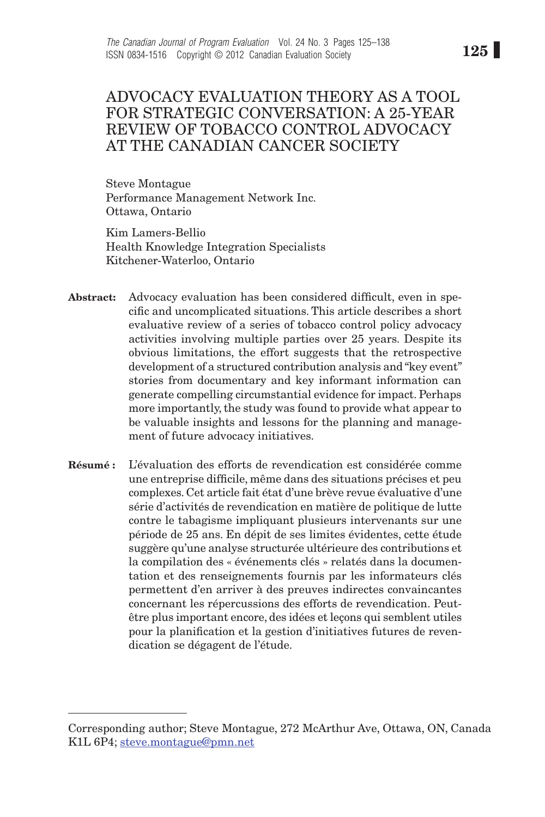### Advocacy Evaluation Theory as a Tool for Strategic Conversation: A 25-year REVIEW OF TOBACCO CONTROL ADVOCACY at the Canadian Cancer Society

Steve Montague Performance Management Network Inc. Ottawa, Ontario

Kim Lamers-Bellio Health Knowledge Integration Specialists Kitchener-Waterloo, Ontario

- Abstract: Advocacy evaluation has been considered difficult, even in specific and uncomplicated situations. This article describes a short evaluative review of a series of tobacco control policy advocacy activities involving multiple parties over 25 years. Despite its obvious limitations, the effort suggests that the retrospective development of a structured contribution analysis and "key event" stories from documentary and key informant information can generate compelling circumstantial evidence for impact. Perhaps more importantly, the study was found to provide what appear to be valuable insights and lessons for the planning and management of future advocacy initiatives.
- Résumé : L'évaluation des efforts de revendication est considérée comme une entreprise difficile, même dans des situations précises et peu complexes. Cet article fait état d'une brève revue évaluative d'une série d'activités de revendication en matière de politique de lutte contre le tabagisme impliquant plusieurs intervenants sur une période de 25 ans. En dépit de ses limites évidentes, cette étude suggère qu'une analyse structurée ultérieure des contributions et la compilation des « événements clés » relatés dans la documentation et des renseignements fournis par les informateurs clés permettent d'en arriver à des preuves indirectes convaincantes concernant les répercussions des efforts de revendication. Peutêtre plus important encore, des idées et leçons qui semblent utiles pour la planification et la gestion d'initiatives futures de revendication se dégagent de l'étude.

Corresponding author; Steve Montague, 272 McArthur Ave, Ottawa, ON, Canada K1L 6P4; steve.montague@pmn.net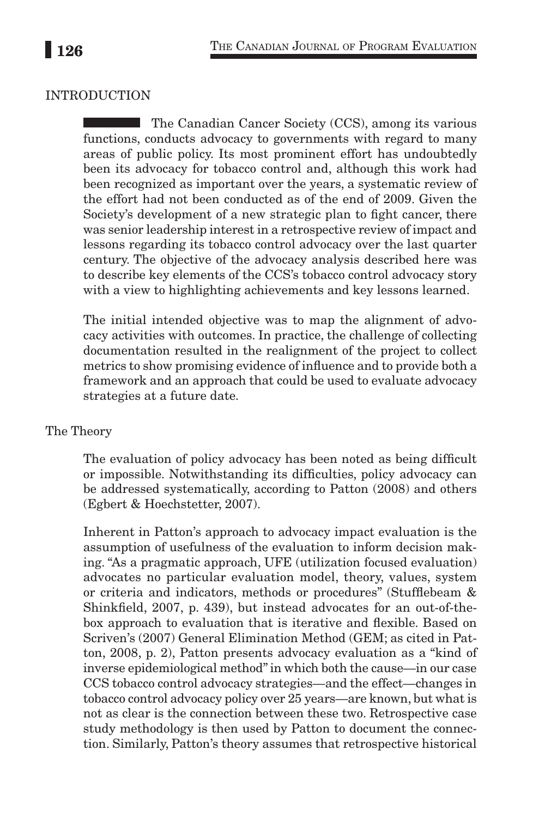## Introduction

The Canadian Cancer Society (CCS), among its various functions, conducts advocacy to governments with regard to many areas of public policy. Its most prominent effort has undoubtedly been its advocacy for tobacco control and, although this work had been recognized as important over the years, a systematic review of the effort had not been conducted as of the end of 2009. Given the Society's development of a new strategic plan to fight cancer, there was senior leadership interest in a retrospective review of impact and lessons regarding its tobacco control advocacy over the last quarter century. The objective of the advocacy analysis described here was to describe key elements of the CCS's tobacco control advocacy story with a view to highlighting achievements and key lessons learned.

The initial intended objective was to map the alignment of advocacy activities with outcomes. In practice, the challenge of collecting documentation resulted in the realignment of the project to collect metrics to show promising evidence of influence and to provide both a framework and an approach that could be used to evaluate advocacy strategies at a future date.

#### The Theory

The evaluation of policy advocacy has been noted as being difficult or impossible. Notwithstanding its difficulties, policy advocacy can be addressed systematically, according to Patton (2008) and others (Egbert & Hoechstetter, 2007).

Inherent in Patton's approach to advocacy impact evaluation is the assumption of usefulness of the evaluation to inform decision making. "As a pragmatic approach, UFE (utilization focused evaluation) advocates no particular evaluation model, theory, values, system or criteria and indicators, methods or procedures" (Stufflebeam & Shinkfield, 2007, p. 439), but instead advocates for an out-of-thebox approach to evaluation that is iterative and flexible. Based on Scriven's (2007) General Elimination Method (GEM; as cited in Patton, 2008, p. 2), Patton presents advocacy evaluation as a "kind of inverse epidemiological method" in which both the cause—in our case CCS tobacco control advocacy strategies—and the effect—changes in tobacco control advocacy policy over 25 years—are known, but what is not as clear is the connection between these two. Retrospective case study methodology is then used by Patton to document the connection. Similarly, Patton's theory assumes that retrospective historical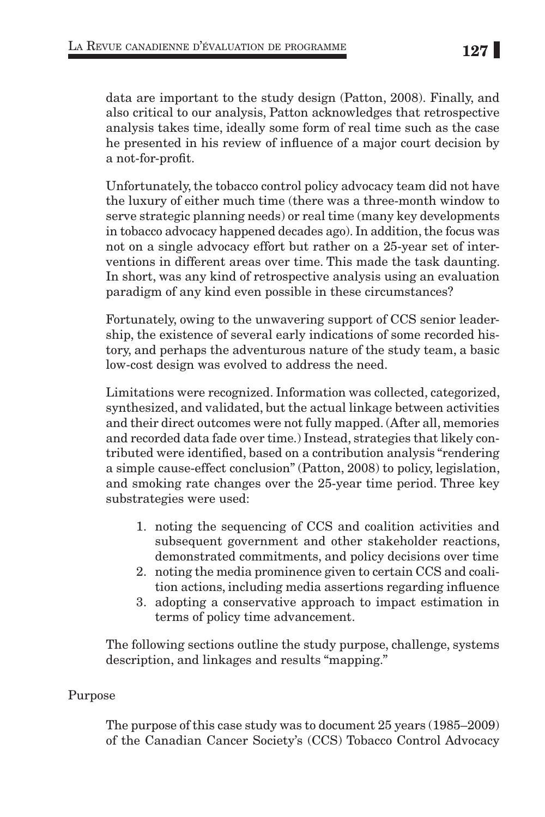data are important to the study design (Patton, 2008). Finally, and also critical to our analysis, Patton acknowledges that retrospective analysis takes time, ideally some form of real time such as the case he presented in his review of influence of a major court decision by a not-for-profit.

Unfortunately, the tobacco control policy advocacy team did not have the luxury of either much time (there was a three-month window to serve strategic planning needs) or real time (many key developments in tobacco advocacy happened decades ago). In addition, the focus was not on a single advocacy effort but rather on a 25-year set of interventions in different areas over time. This made the task daunting. In short, was any kind of retrospective analysis using an evaluation paradigm of any kind even possible in these circumstances?

Fortunately, owing to the unwavering support of CCS senior leadership, the existence of several early indications of some recorded history, and perhaps the adventurous nature of the study team, a basic low-cost design was evolved to address the need.

Limitations were recognized. Information was collected, categorized, synthesized, and validated, but the actual linkage between activities and their direct outcomes were not fully mapped. (After all, memories and recorded data fade over time.) Instead, strategies that likely contributed were identified, based on a contribution analysis "rendering a simple cause-effect conclusion" (Patton, 2008) to policy, legislation, and smoking rate changes over the 25-year time period. Three key substrategies were used:

- 1. noting the sequencing of CCS and coalition activities and subsequent government and other stakeholder reactions, demonstrated commitments, and policy decisions over time
- 2. noting the media prominence given to certain CCS and coalition actions, including media assertions regarding influence
- 3. adopting a conservative approach to impact estimation in terms of policy time advancement.

The following sections outline the study purpose, challenge, systems description, and linkages and results "mapping."

### Purpose

The purpose of this case study was to document 25 years (1985–2009) of the Canadian Cancer Society's (CCS) Tobacco Control Advocacy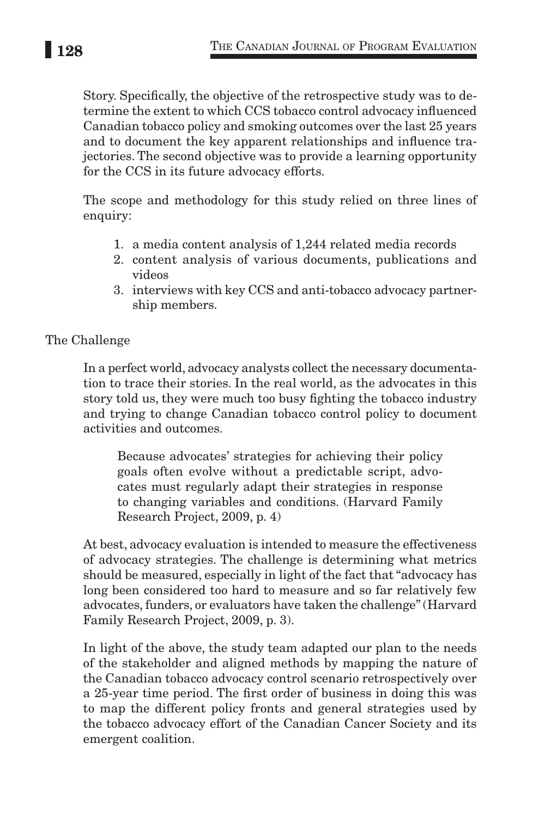Story. Specifically, the objective of the retrospective study was to determine the extent to which CCS tobacco control advocacy influenced Canadian tobacco policy and smoking outcomes over the last 25 years and to document the key apparent relationships and influence trajectories. The second objective was to provide a learning opportunity for the CCS in its future advocacy efforts.

The scope and methodology for this study relied on three lines of enquiry:

- 1. a media content analysis of 1,244 related media records
- 2. content analysis of various documents, publications and videos
- 3. interviews with key CCS and anti-tobacco advocacy partnership members.

### The Challenge

In a perfect world, advocacy analysts collect the necessary documentation to trace their stories. In the real world, as the advocates in this story told us, they were much too busy fighting the tobacco industry and trying to change Canadian tobacco control policy to document activities and outcomes.

Because advocates' strategies for achieving their policy goals often evolve without a predictable script, advocates must regularly adapt their strategies in response to changing variables and conditions. (Harvard Family Research Project, 2009, p. 4)

At best, advocacy evaluation is intended to measure the effectiveness of advocacy strategies. The challenge is determining what metrics should be measured, especially in light of the fact that "advocacy has long been considered too hard to measure and so far relatively few advocates, funders, or evaluators have taken the challenge" (Harvard Family Research Project, 2009, p. 3).

In light of the above, the study team adapted our plan to the needs of the stakeholder and aligned methods by mapping the nature of the Canadian tobacco advocacy control scenario retrospectively over a 25-year time period. The first order of business in doing this was to map the different policy fronts and general strategies used by the tobacco advocacy effort of the Canadian Cancer Society and its emergent coalition.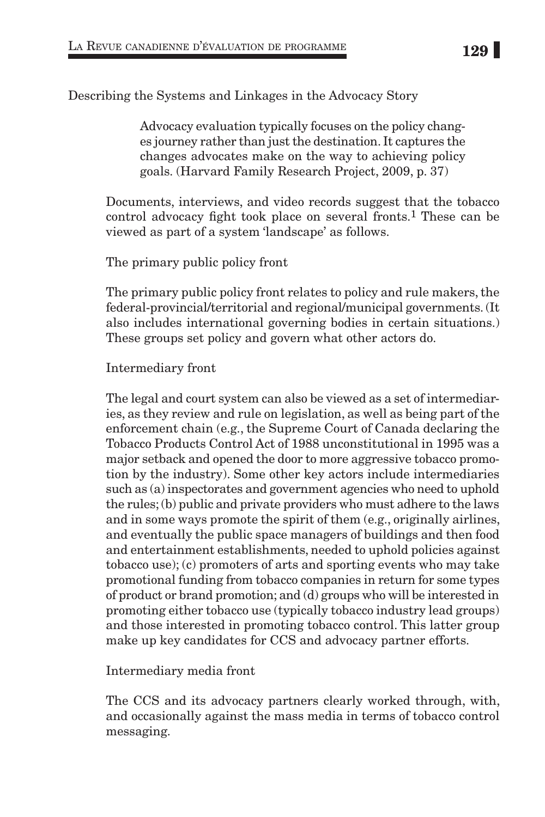### Describing the Systems and Linkages in the Advocacy Story

Advocacy evaluation typically focuses on the policy changes journey rather than just the destination. It captures the changes advocates make on the way to achieving policy goals. (Harvard Family Research Project, 2009, p. 37)

Documents, interviews, and video records suggest that the tobacco control advocacy fight took place on several fronts.<sup>1</sup> These can be viewed as part of a system 'landscape' as follows.

#### The primary public policy front

The primary public policy front relates to policy and rule makers, the federal-provincial/territorial and regional/municipal governments. (It also includes international governing bodies in certain situations.) These groups set policy and govern what other actors do.

### Intermediary front

The legal and court system can also be viewed as a set of intermediaries, as they review and rule on legislation, as well as being part of the enforcement chain (e.g., the Supreme Court of Canada declaring the Tobacco Products Control Act of 1988 unconstitutional in 1995 was a major setback and opened the door to more aggressive tobacco promotion by the industry). Some other key actors include intermediaries such as (a) inspectorates and government agencies who need to uphold the rules; (b) public and private providers who must adhere to the laws and in some ways promote the spirit of them (e.g., originally airlines, and eventually the public space managers of buildings and then food and entertainment establishments, needed to uphold policies against tobacco use); (c) promoters of arts and sporting events who may take promotional funding from tobacco companies in return for some types of product or brand promotion; and (d) groups who will be interested in promoting either tobacco use (typically tobacco industry lead groups) and those interested in promoting tobacco control. This latter group make up key candidates for CCS and advocacy partner efforts.

#### Intermediary media front

The CCS and its advocacy partners clearly worked through, with, and occasionally against the mass media in terms of tobacco control messaging.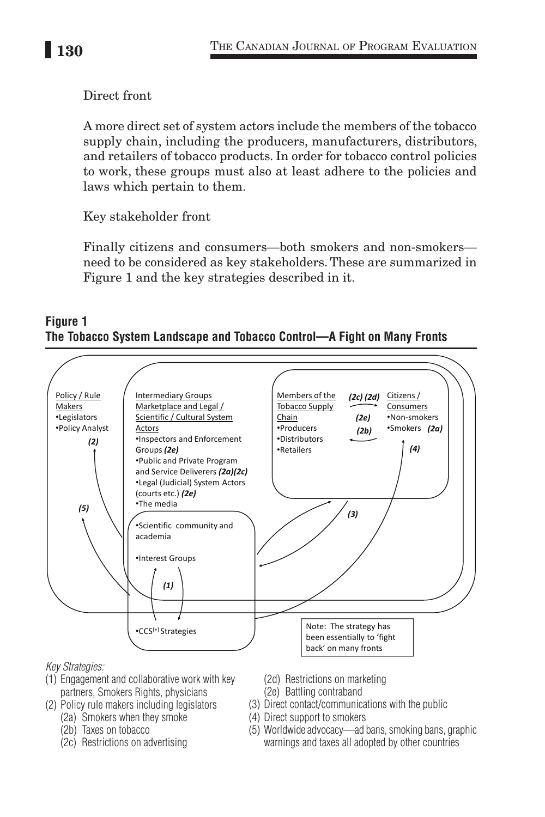### Direct front

A more direct set of system actors include the members of the tobacco supply chain, including the producers, manufacturers, distributors, and retailers of tobacco products. In order for tobacco control policies to work, these groups must also at least adhere to the policies and laws which pertain to them.

Key stakeholder front

Finally citizens and consumers—both smokers and non-smokers need to be considered as key stakeholders. These are summarized in Figure 1 and the key strategies described in it.

### **Figure 1 The Tobacco System Landscape and Tobacco Control—A Fight on Many Fronts**



#### *Key Strategies:*

- (1) Engagement and collaborative work with key partners, Smokers Rights, physicians
- (2) Policy rule makers including legislators
	- (2a) Smokers when they smoke
	- (2b) Taxes on tobacco
	- (2c) Restrictions on advertising
- (2d) Restrictions on marketing
- (2e) Battling contraband
- (3) Direct contact/communications with the public
- (4) Direct support to smokers
- (5) Worldwide advocacy—ad bans, smoking bans, graphic warnings and taxes all adopted by other countries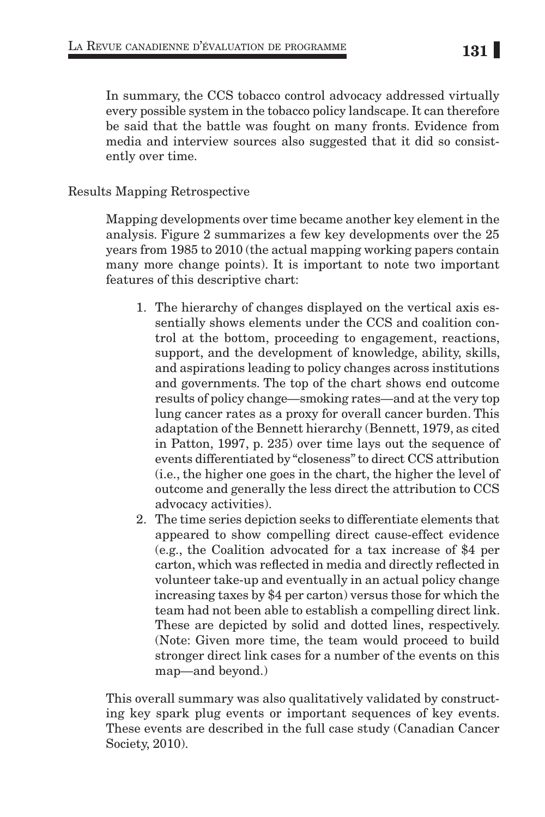In summary, the CCS tobacco control advocacy addressed virtually every possible system in the tobacco policy landscape. It can therefore be said that the battle was fought on many fronts. Evidence from media and interview sources also suggested that it did so consistently over time.

### Results Mapping Retrospective

Mapping developments over time became another key element in the analysis. Figure 2 summarizes a few key developments over the 25 years from 1985 to 2010 (the actual mapping working papers contain many more change points). It is important to note two important features of this descriptive chart:

- 1. The hierarchy of changes displayed on the vertical axis essentially shows elements under the CCS and coalition control at the bottom, proceeding to engagement, reactions, support, and the development of knowledge, ability, skills, and aspirations leading to policy changes across institutions and governments. The top of the chart shows end outcome results of policy change—smoking rates—and at the very top lung cancer rates as a proxy for overall cancer burden. This adaptation of the Bennett hierarchy (Bennett, 1979, as cited in Patton, 1997, p. 235) over time lays out the sequence of events differentiated by "closeness" to direct CCS attribution (i.e., the higher one goes in the chart, the higher the level of outcome and generally the less direct the attribution to CCS advocacy activities).
- 2. The time series depiction seeks to differentiate elements that appeared to show compelling direct cause-effect evidence (e.g., the Coalition advocated for a tax increase of \$4 per carton, which was reflected in media and directly reflected in volunteer take-up and eventually in an actual policy change increasing taxes by \$4 per carton) versus those for which the team had not been able to establish a compelling direct link. These are depicted by solid and dotted lines, respectively. (Note: Given more time, the team would proceed to build stronger direct link cases for a number of the events on this map—and beyond.)

This overall summary was also qualitatively validated by constructing key spark plug events or important sequences of key events. These events are described in the full case study (Canadian Cancer Society, 2010).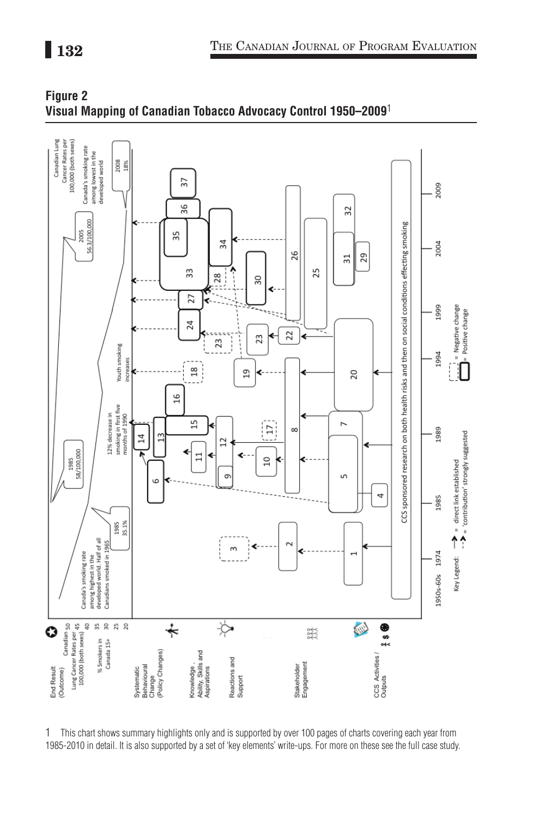

**Figure 2 Visual Mapping of Canadian Tobacco Advocacy Control 1950–2009**<sup>1</sup>

1 This chart shows summary highlights only and is supported by over 100 pages of charts covering each year from 1985-2010 in detail. It is also supported by a set of 'key elements' write-ups. For more on these see the full case study.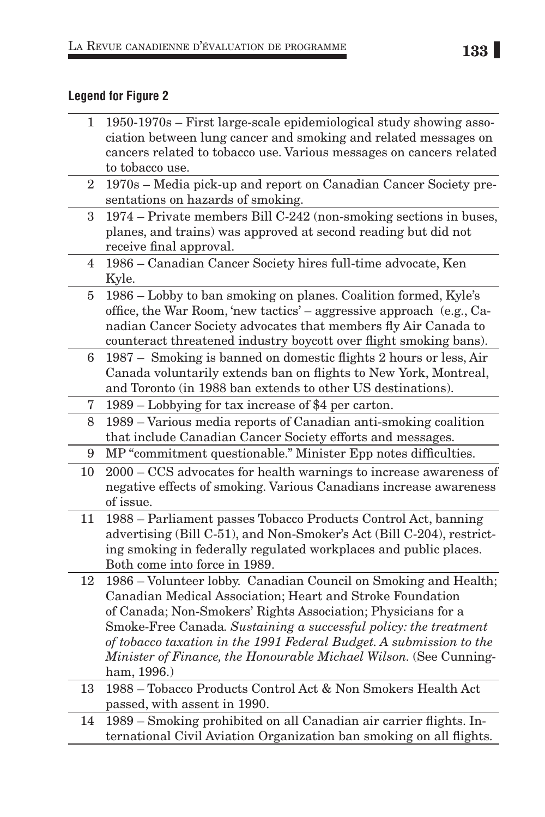# **Legend for Figure 2**

| 1              | 1950-1970s - First large-scale epidemiological study showing asso-               |
|----------------|----------------------------------------------------------------------------------|
|                | ciation between lung cancer and smoking and related messages on                  |
|                | cancers related to tobacco use. Various messages on cancers related              |
|                | to tobacco use.                                                                  |
| $\overline{2}$ | 1970s - Media pick-up and report on Canadian Cancer Society pre-                 |
|                | sentations on hazards of smoking.                                                |
| 3              | 1974 – Private members Bill C-242 (non-smoking sections in buses,                |
|                | planes, and trains) was approved at second reading but did not                   |
|                | receive final approval.                                                          |
| 4              | 1986 - Canadian Cancer Society hires full-time advocate, Ken                     |
|                | Kyle.                                                                            |
| 5              | 1986 – Lobby to ban smoking on planes. Coalition formed, Kyle's                  |
|                | office, the War Room, 'new tactics' – aggressive approach (e.g., Ca-             |
|                | nadian Cancer Society advocates that members fly Air Canada to                   |
|                | counteract threatened industry boycott over flight smoking bans).                |
| 6              | 1987 – Smoking is banned on domestic flights 2 hours or less, Air                |
|                | Canada voluntarily extends ban on flights to New York, Montreal,                 |
|                | and Toronto (in 1988 ban extends to other US destinations).                      |
| 7              | 1989 – Lobbying for tax increase of \$4 per carton.                              |
| 8              | 1989 – Various media reports of Canadian anti-smoking coalition                  |
|                | that include Canadian Cancer Society efforts and messages.                       |
| 9              | MP "commitment questionable." Minister Epp notes difficulties.                   |
| 10             | 2000 – CCS advocates for health warnings to increase awareness of                |
|                | negative effects of smoking. Various Canadians increase awareness                |
|                | of issue.                                                                        |
| 11             | 1988 - Parliament passes Tobacco Products Control Act, banning                   |
|                | advertising (Bill C-51), and Non-Smoker's Act (Bill C-204), restrict-            |
|                | ing smoking in federally regulated workplaces and public places.                 |
|                | Both come into force in 1989.                                                    |
| 12             | 1986 - Volunteer lobby. Canadian Council on Smoking and Health;                  |
|                | Canadian Medical Association; Heart and Stroke Foundation                        |
|                | of Canada; Non-Smokers' Rights Association; Physicians for a                     |
|                | Smoke-Free Canada. Sustaining a successful policy: the treatment                 |
|                | of tobacco taxation in the 1991 Federal Budget. A submission to the              |
|                | Minister of Finance, the Honourable Michael Wilson. (See Cunning-<br>ham, 1996.) |
| 13             | 1988 - Tobacco Products Control Act & Non Smokers Health Act                     |
|                | passed, with assent in 1990.                                                     |
| 14             | 1989 – Smoking prohibited on all Canadian air carrier flights. In-               |
|                | ternational Civil Aviation Organization ban smoking on all flights.              |
|                |                                                                                  |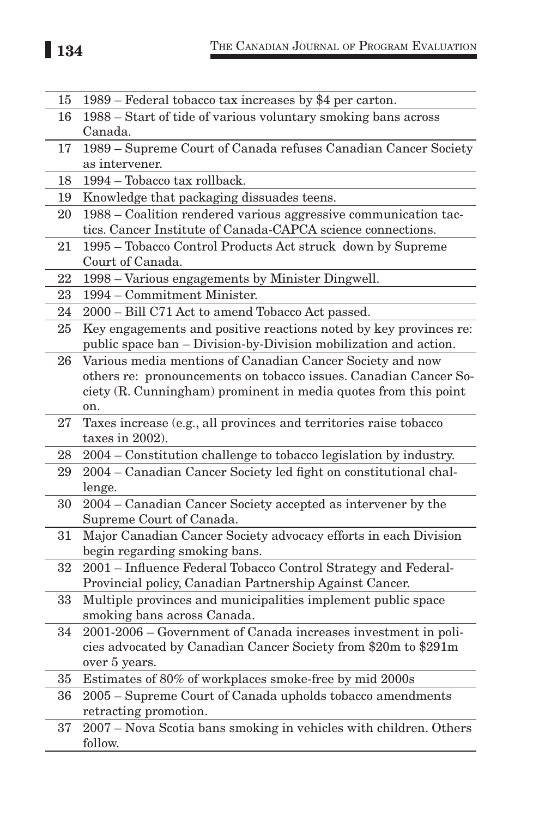| 15     | 1989 – Federal tobacco tax increases by \$4 per carton.                              |
|--------|--------------------------------------------------------------------------------------|
| 16     | 1988 – Start of tide of various voluntary smoking bans across                        |
|        | Canada.                                                                              |
| 17     | 1989 - Supreme Court of Canada refuses Canadian Cancer Society                       |
|        | as intervener.                                                                       |
| 18     | 1994 - Tobacco tax rollback.                                                         |
| 19     | Knowledge that packaging dissuades teens.                                            |
| 20     | 1988 – Coalition rendered various aggressive communication tac-                      |
|        | tics. Cancer Institute of Canada-CAPCA science connections.                          |
| 21     | 1995 - Tobacco Control Products Act struck down by Supreme                           |
|        | Court of Canada.                                                                     |
| $22\,$ | 1998 – Various engagements by Minister Dingwell.                                     |
| 23     | 1994 – Commitment Minister.                                                          |
| 24     | 2000 - Bill C71 Act to amend Tobacco Act passed.                                     |
| 25     | Key engagements and positive reactions noted by key provinces re:                    |
|        | public space ban - Division-by-Division mobilization and action.                     |
| 26     | Various media mentions of Canadian Cancer Society and now                            |
|        | others re: pronouncements on tobacco issues. Canadian Cancer So-                     |
|        | ciety (R. Cunningham) prominent in media quotes from this point                      |
|        | on.                                                                                  |
| 27     | Taxes increase (e.g., all provinces and territories raise tobacco<br>taxes in 2002). |
| 28     | 2004 – Constitution challenge to tobacco legislation by industry.                    |
| 29     | 2004 - Canadian Cancer Society led fight on constitutional chal-                     |
|        | lenge.                                                                               |
| 30     | 2004 - Canadian Cancer Society accepted as intervener by the                         |
|        | Supreme Court of Canada.                                                             |
| 31     | Major Canadian Cancer Society advocacy efforts in each Division                      |
|        | begin regarding smoking bans.                                                        |
| 32     | 2001 - Influence Federal Tobacco Control Strategy and Federal-                       |
|        | Provincial policy, Canadian Partnership Against Cancer.                              |
| 33     | Multiple provinces and municipalities implement public space                         |
|        | smoking bans across Canada.                                                          |
| 34     | 2001-2006 - Government of Canada increases investment in poli-                       |
|        | cies advocated by Canadian Cancer Society from \$20m to \$291m                       |
|        | over 5 years.                                                                        |
| 35     | Estimates of 80% of workplaces smoke-free by mid 2000s                               |
| 36     | 2005 - Supreme Court of Canada upholds tobacco amendments                            |
|        | retracting promotion.                                                                |
| 37     | 2007 - Nova Scotia bans smoking in vehicles with children. Others                    |
|        | follow.                                                                              |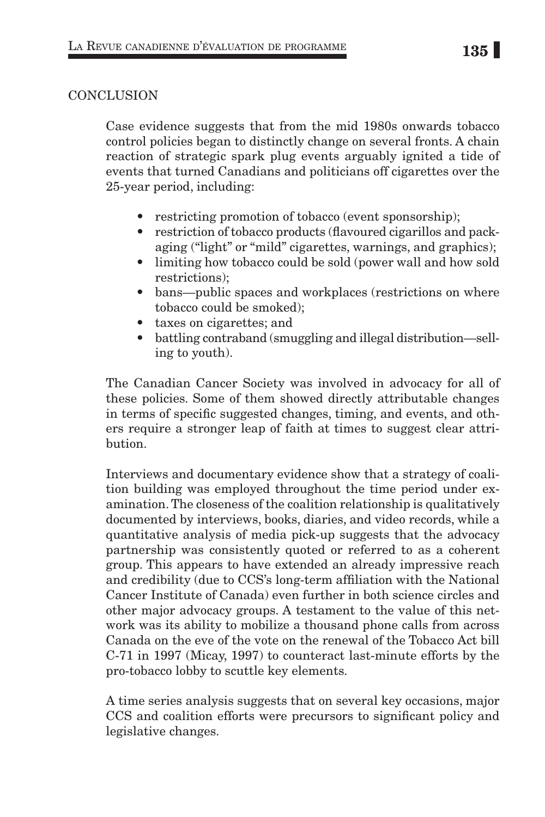### **CONCLUSION**

Case evidence suggests that from the mid 1980s onwards tobacco control policies began to distinctly change on several fronts. A chain reaction of strategic spark plug events arguably ignited a tide of events that turned Canadians and politicians off cigarettes over the 25-year period, including:

- restricting promotion of tobacco (event sponsorship);
- restriction of tobacco products (flavoured cigarillos and packaging ("light" or "mild" cigarettes, warnings, and graphics);
- limiting how tobacco could be sold (power wall and how sold restrictions);
- bans—public spaces and workplaces (restrictions on where tobacco could be smoked);
- taxes on cigarettes; and
- battling contraband (smuggling and illegal distribution—selling to youth).

The Canadian Cancer Society was involved in advocacy for all of these policies. Some of them showed directly attributable changes in terms of specific suggested changes, timing, and events, and others require a stronger leap of faith at times to suggest clear attribution.

Interviews and documentary evidence show that a strategy of coalition building was employed throughout the time period under examination. The closeness of the coalition relationship is qualitatively documented by interviews, books, diaries, and video records, while a quantitative analysis of media pick-up suggests that the advocacy partnership was consistently quoted or referred to as a coherent group. This appears to have extended an already impressive reach and credibility (due to CCS's long-term affiliation with the National Cancer Institute of Canada) even further in both science circles and other major advocacy groups. A testament to the value of this network was its ability to mobilize a thousand phone calls from across Canada on the eve of the vote on the renewal of the Tobacco Act bill C-71 in 1997 (Micay, 1997) to counteract last-minute efforts by the pro-tobacco lobby to scuttle key elements.

A time series analysis suggests that on several key occasions, major CCS and coalition efforts were precursors to significant policy and legislative changes.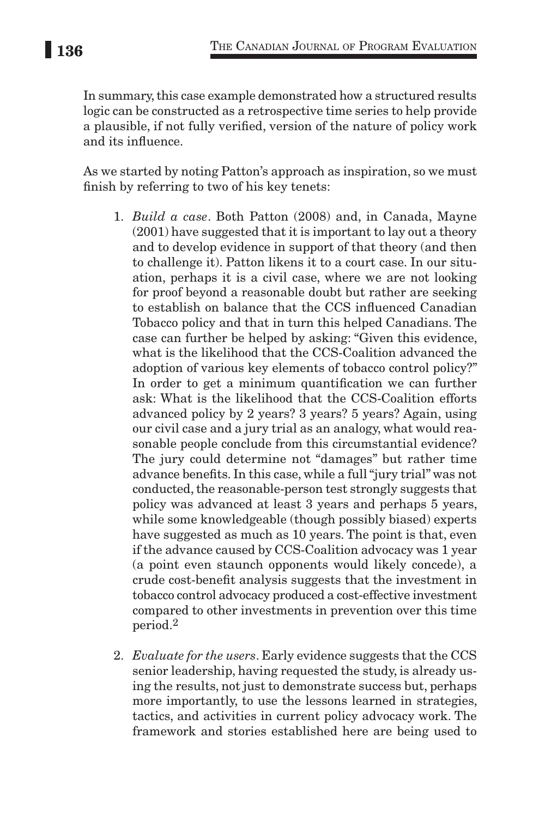In summary, this case example demonstrated how a structured results logic can be constructed as a retrospective time series to help provide a plausible, if not fully verified, version of the nature of policy work and its influence.

As we started by noting Patton's approach as inspiration, so we must finish by referring to two of his key tenets:

- 1. *Build a case*. Both Patton (2008) and, in Canada, Mayne (2001) have suggested that it is important to lay out a theory and to develop evidence in support of that theory (and then to challenge it). Patton likens it to a court case. In our situation, perhaps it is a civil case, where we are not looking for proof beyond a reasonable doubt but rather are seeking to establish on balance that the CCS influenced Canadian Tobacco policy and that in turn this helped Canadians. The case can further be helped by asking: "Given this evidence, what is the likelihood that the CCS-Coalition advanced the adoption of various key elements of tobacco control policy?" In order to get a minimum quantification we can further ask: What is the likelihood that the CCS-Coalition efforts advanced policy by 2 years? 3 years? 5 years? Again, using our civil case and a jury trial as an analogy, what would reasonable people conclude from this circumstantial evidence? The jury could determine not "damages" but rather time advance benefits. In this case, while a full "jury trial" was not conducted, the reasonable-person test strongly suggests that policy was advanced at least 3 years and perhaps 5 years, while some knowledgeable (though possibly biased) experts have suggested as much as 10 years. The point is that, even if the advance caused by CCS-Coalition advocacy was 1 year (a point even staunch opponents would likely concede), a crude cost-benefit analysis suggests that the investment in tobacco control advocacy produced a cost-effective investment compared to other investments in prevention over this time period.2
- 2. *Evaluate for the users*. Early evidence suggests that the CCS senior leadership, having requested the study, is already using the results, not just to demonstrate success but, perhaps more importantly, to use the lessons learned in strategies, tactics, and activities in current policy advocacy work. The framework and stories established here are being used to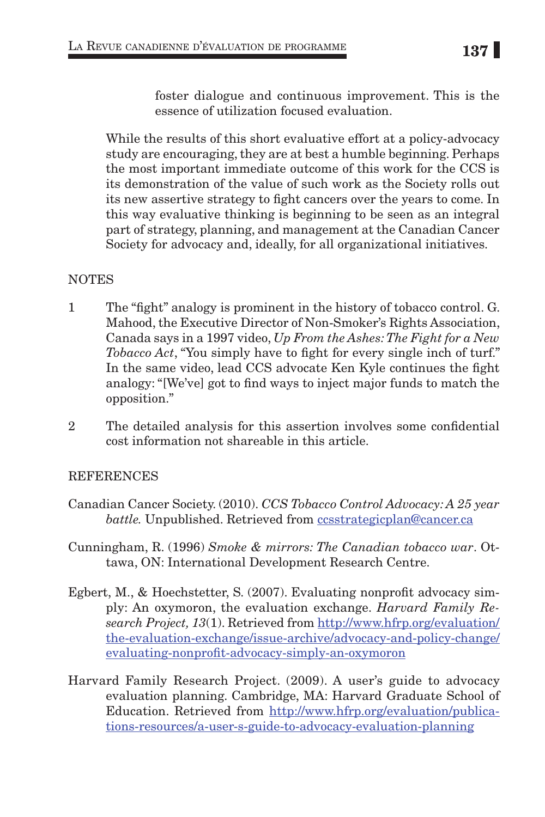foster dialogue and continuous improvement. This is the essence of utilization focused evaluation.

While the results of this short evaluative effort at a policy-advocacy study are encouraging, they are at best a humble beginning. Perhaps the most important immediate outcome of this work for the CCS is its demonstration of the value of such work as the Society rolls out its new assertive strategy to fight cancers over the years to come. In this way evaluative thinking is beginning to be seen as an integral part of strategy, planning, and management at the Canadian Cancer Society for advocacy and, ideally, for all organizational initiatives.

#### **NOTES**

- 1 The "fight" analogy is prominent in the history of tobacco control. G. Mahood, the Executive Director of Non-Smoker's Rights Association, Canada says in a 1997 video, *Up From the Ashes: The Fight for a New Tobacco Act*, "You simply have to fight for every single inch of turf." In the same video, lead CCS advocate Ken Kyle continues the fight analogy: "[We've] got to find ways to inject major funds to match the opposition."
- 2 The detailed analysis for this assertion involves some confidential cost information not shareable in this article.

### **REFERENCES**

- Canadian Cancer Society. (2010). *CCS Tobacco Control Advocacy: A 25 year battle.* Unpublished. Retrieved from ccsstrategicplan@cancer.ca
- Cunningham, R. (1996) *Smoke & mirrors: The Canadian tobacco war*. Ottawa, ON: International Development Research Centre.
- Egbert, M., & Hoechstetter, S. (2007). Evaluating nonprofit advocacy simply: An oxymoron, the evaluation exchange. *Harvard Family Research Project, 13*(1). Retrieved from http://www.hfrp.org/evaluation/ the-evaluation-exchange/issue-archive/advocacy-and-policy-change/ evaluating-nonprofit-advocacy-simply-an-oxymoron
- Harvard Family Research Project. (2009). A user's guide to advocacy evaluation planning. Cambridge, MA: Harvard Graduate School of Education. Retrieved from http://www.hfrp.org/evaluation/publications-resources/a-user-s-guide-to-advocacy-evaluation-planning